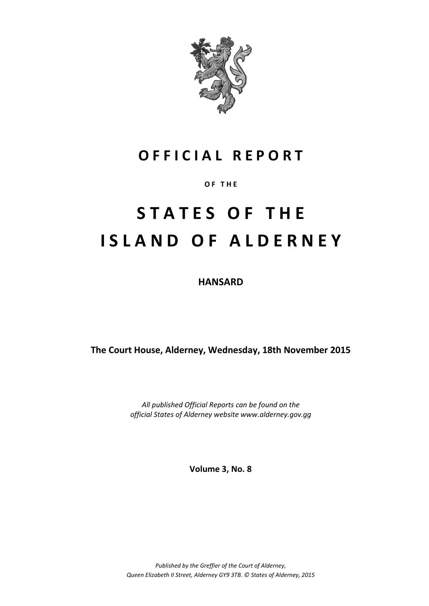

# **O F F I C I A L R E P O R T**

# **O F T H E**

# **S T A T E S O F T H E I S L A N D O F A L D E R N E Y**

**HANSARD**

**The Court House, Alderney, Wednesday, 18th November 2015**

*All published Official Reports can be found on the official States of Alderney website www.alderney.gov.gg*

**Volume 3, No. 8**

*Published by the Greffier of the Court of Alderney, Queen Elizabeth II Street, Alderney GY9 3TB. © States of Alderney, 2015*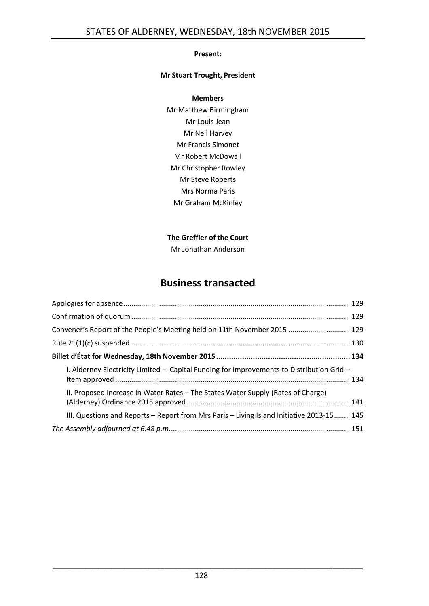# **Present:**

# **Mr Stuart Trought, President**

#### **Members**

Mr Matthew Birmingham Mr Louis Jean Mr Neil Harvey Mr Francis Simonet Mr Robert McDowall Mr Christopher Rowley Mr Steve Roberts Mrs Norma Paris Mr Graham McKinley

# **The Greffier of the Court**

Mr Jonathan Anderson

# **Business transacted**

| Convener's Report of the People's Meeting held on 11th November 2015  129                 |  |  |  |
|-------------------------------------------------------------------------------------------|--|--|--|
|                                                                                           |  |  |  |
|                                                                                           |  |  |  |
| I. Alderney Electricity Limited - Capital Funding for Improvements to Distribution Grid - |  |  |  |
| II. Proposed Increase in Water Rates - The States Water Supply (Rates of Charge)          |  |  |  |
| III. Questions and Reports - Report from Mrs Paris - Living Island Initiative 2013-15 145 |  |  |  |
|                                                                                           |  |  |  |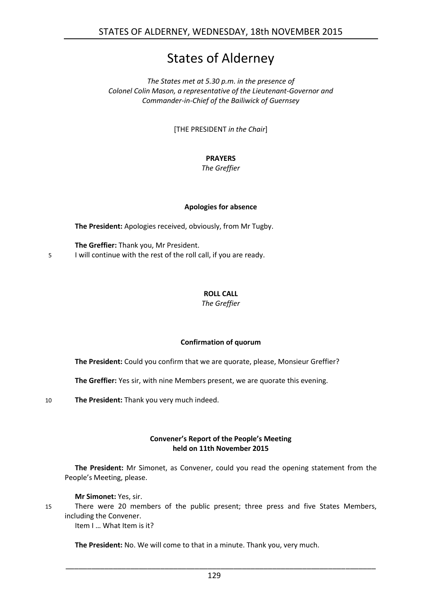# States of Alderney

*The States met at 5.30 p.m. in the presence of Colonel Colin Mason, a representative of the Lieutenant-Governor and Commander-in-Chief of the Bailiwick of Guernsey*

[THE PRESIDENT *in the Chair*]

# **PRAYERS**

*The Greffier*

# **Apologies for absence**

<span id="page-2-0"></span>**The President:** Apologies received, obviously, from Mr Tugby.

**The Greffier:** Thank you, Mr President. 5 I will continue with the rest of the roll call, if you are ready.

# **ROLL CALL**

*The Greffier*

# **Confirmation of quorum**

<span id="page-2-1"></span>**The President:** Could you confirm that we are quorate, please, Monsieur Greffier?

**The Greffier:** Yes sir, with nine Members present, we are quorate this evening.

10 **The President:** Thank you very much indeed.

# **Convener's Report of the People's Meeting held on 11th November 2015**

<span id="page-2-2"></span>**The President:** Mr Simonet, as Convener, could you read the opening statement from the People's Meeting, please.

**Mr Simonet:** Yes, sir.

15 There were 20 members of the public present; three press and five States Members, including the Convener.

Item I … What Item is it?

**The President:** No. We will come to that in a minute. Thank you, very much.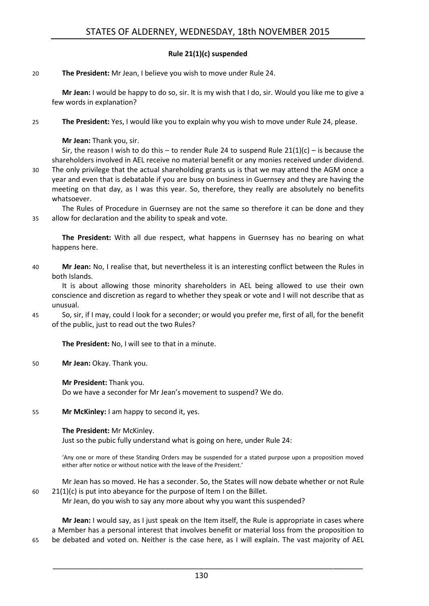# **Rule 21(1)(c) suspended**

#### <span id="page-3-0"></span>20 **The President:** Mr Jean, I believe you wish to move under Rule 24.

**Mr Jean:** I would be happy to do so, sir. It is my wish that I do, sir. Would you like me to give a few words in explanation?

25 **The President:** Yes, I would like you to explain why you wish to move under Rule 24, please.

### **Mr Jean:** Thank you, sir.

Sir, the reason I wish to do this – to render Rule 24 to suspend Rule  $21(1)(c)$  – is because the shareholders involved in AEL receive no material benefit or any monies received under dividend.

30 The only privilege that the actual shareholding grants us is that we may attend the AGM once a year and even that is debatable if you are busy on business in Guernsey and they are having the meeting on that day, as I was this year. So, therefore, they really are absolutely no benefits whatsoever.

The Rules of Procedure in Guernsey are not the same so therefore it can be done and they 35 allow for declaration and the ability to speak and vote.

**The President:** With all due respect, what happens in Guernsey has no bearing on what happens here.

40 **Mr Jean:** No, I realise that, but nevertheless it is an interesting conflict between the Rules in both Islands.

It is about allowing those minority shareholders in AEL being allowed to use their own conscience and discretion as regard to whether they speak or vote and I will not describe that as unusual.

45 So, sir, if I may, could I look for a seconder; or would you prefer me, first of all, for the benefit of the public, just to read out the two Rules?

**The President:** No, I will see to that in a minute.

50 **Mr Jean:** Okay. Thank you.

**Mr President:** Thank you. Do we have a seconder for Mr Jean's movement to suspend? We do.

55 **Mr McKinley:** I am happy to second it, yes.

#### **The President:** Mr McKinley.

Just so the pubic fully understand what is going on here, under Rule 24:

'Any one or more of these Standing Orders may be suspended for a stated purpose upon a proposition moved either after notice or without notice with the leave of the President.'

- Mr Jean has so moved. He has a seconder. So, the States will now debate whether or not Rule 60 21(1)(c) is put into abeyance for the purpose of Item I on the Billet.
	- Mr Jean, do you wish to say any more about why you want this suspended?

**Mr Jean:** I would say, as I just speak on the Item itself, the Rule is appropriate in cases where a Member has a personal interest that involves benefit or material loss from the proposition to 65 be debated and voted on. Neither is the case here, as I will explain. The vast majority of AEL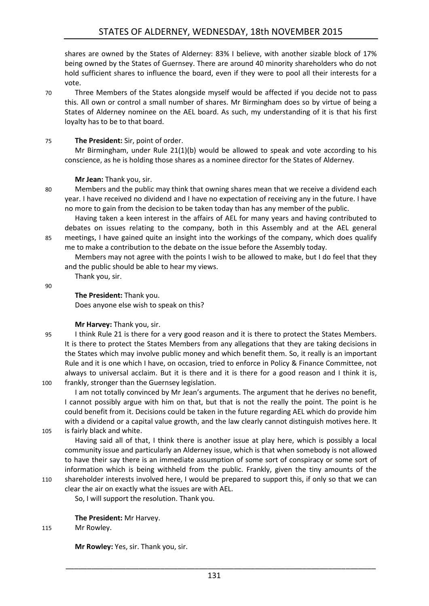shares are owned by the States of Alderney: 83% I believe, with another sizable block of 17% being owned by the States of Guernsey. There are around 40 minority shareholders who do not hold sufficient shares to influence the board, even if they were to pool all their interests for a vote.

70 Three Members of the States alongside myself would be affected if you decide not to pass this. All own or control a small number of shares. Mr Birmingham does so by virtue of being a States of Alderney nominee on the AEL board. As such, my understanding of it is that his first loyalty has to be to that board.

# 75 **The President:** Sir, point of order.

Mr Birmingham, under Rule  $21(1)(b)$  would be allowed to speak and vote according to his conscience, as he is holding those shares as a nominee director for the States of Alderney.

# **Mr Jean:** Thank you, sir.

80 Members and the public may think that owning shares mean that we receive a dividend each year. I have received no dividend and I have no expectation of receiving any in the future. I have no more to gain from the decision to be taken today than has any member of the public.

Having taken a keen interest in the affairs of AEL for many years and having contributed to debates on issues relating to the company, both in this Assembly and at the AEL general 85 meetings, I have gained quite an insight into the workings of the company, which does qualify me to make a contribution to the debate on the issue before the Assembly today.

Members may not agree with the points I wish to be allowed to make, but I do feel that they and the public should be able to hear my views.

90

**The President:** Thank you.

Thank you, sir.

Does anyone else wish to speak on this?

**Mr Harvey:** Thank you, sir.

95 I think Rule 21 is there for a very good reason and it is there to protect the States Members. It is there to protect the States Members from any allegations that they are taking decisions in the States which may involve public money and which benefit them. So, it really is an important Rule and it is one which I have, on occasion, tried to enforce in Policy & Finance Committee, not always to universal acclaim. But it is there and it is there for a good reason and I think it is, 100 frankly, stronger than the Guernsey legislation.

I am not totally convinced by Mr Jean's arguments. The argument that he derives no benefit, I cannot possibly argue with him on that, but that is not the really the point. The point is he could benefit from it. Decisions could be taken in the future regarding AEL which do provide him with a dividend or a capital value growth, and the law clearly cannot distinguish motives here. It

105 is fairly black and white.

Having said all of that, I think there is another issue at play here, which is possibly a local community issue and particularly an Alderney issue, which is that when somebody is not allowed to have their say there is an immediate assumption of some sort of conspiracy or some sort of information which is being withheld from the public. Frankly, given the tiny amounts of the 110 shareholder interests involved here, I would be prepared to support this, if only so that we can

clear the air on exactly what the issues are with AEL. So, I will support the resolution. Thank you.

# **The President:** Mr Harvey.

115 Mr Rowley.

**Mr Rowley:** Yes, sir. Thank you, sir.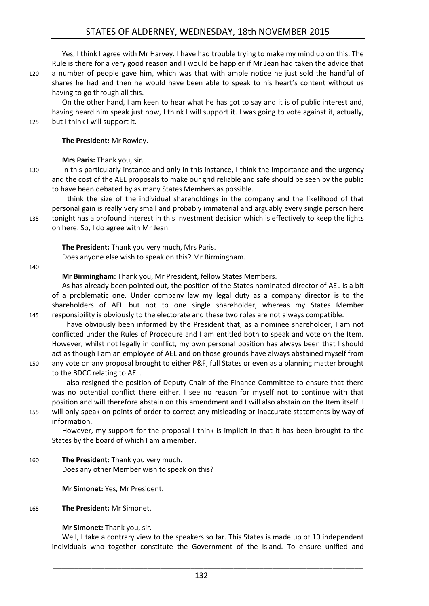# STATES OF ALDERNEY, WEDNESDAY, 18th NOVEMBER 2015

Yes, I think I agree with Mr Harvey. I have had trouble trying to make my mind up on this. The Rule is there for a very good reason and I would be happier if Mr Jean had taken the advice that 120 a number of people gave him, which was that with ample notice he just sold the handful of shares he had and then he would have been able to speak to his heart's content without us having to go through all this.

On the other hand, I am keen to hear what he has got to say and it is of public interest and, having heard him speak just now, I think I will support it. I was going to vote against it, actually, 125 but I think I will support it.

**The President:** Mr Rowley.

**Mrs Paris:** Thank you, sir.

130 In this particularly instance and only in this instance, I think the importance and the urgency and the cost of the AEL proposals to make our grid reliable and safe should be seen by the public to have been debated by as many States Members as possible.

I think the size of the individual shareholdings in the company and the likelihood of that personal gain is really very small and probably immaterial and arguably every single person here 135 tonight has a profound interest in this investment decision which is effectively to keep the lights on here. So, I do agree with Mr Jean.

**The President:** Thank you very much, Mrs Paris. Does anyone else wish to speak on this? Mr Birmingham.

140

**Mr Birmingham:** Thank you, Mr President, fellow States Members.

As has already been pointed out, the position of the States nominated director of AEL is a bit of a problematic one. Under company law my legal duty as a company director is to the shareholders of AEL but not to one single shareholder, whereas my States Member 145 responsibility is obviously to the electorate and these two roles are not always compatible.

- I have obviously been informed by the President that, as a nominee shareholder, I am not conflicted under the Rules of Procedure and I am entitled both to speak and vote on the Item. However, whilst not legally in conflict, my own personal position has always been that I should act as though I am an employee of AEL and on those grounds have always abstained myself from
- 150 any vote on any proposal brought to either P&F, full States or even as a planning matter brought to the BDCC relating to AEL.

I also resigned the position of Deputy Chair of the Finance Committee to ensure that there was no potential conflict there either. I see no reason for myself not to continue with that position and will therefore abstain on this amendment and I will also abstain on the Item itself. I 155 will only speak on points of order to correct any misleading or inaccurate statements by way of

information.

However, my support for the proposal I think is implicit in that it has been brought to the States by the board of which I am a member.

160 **The President:** Thank you very much. Does any other Member wish to speak on this?

**Mr Simonet:** Yes, Mr President.

#### 165 **The President:** Mr Simonet.

# **Mr Simonet:** Thank you, sir.

Well, I take a contrary view to the speakers so far. This States is made up of 10 independent individuals who together constitute the Government of the Island. To ensure unified and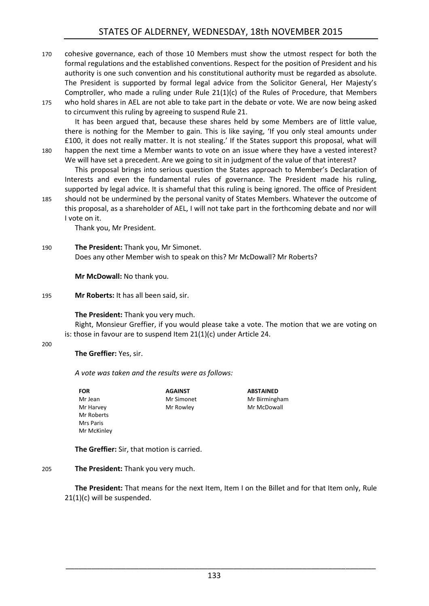- 170 cohesive governance, each of those 10 Members must show the utmost respect for both the formal regulations and the established conventions. Respect for the position of President and his authority is one such convention and his constitutional authority must be regarded as absolute. The President is supported by formal legal advice from the Solicitor General, Her Majesty's Comptroller, who made a ruling under Rule 21(1)(c) of the Rules of Procedure, that Members
- 175 who hold shares in AEL are not able to take part in the debate or vote. We are now being asked to circumvent this ruling by agreeing to suspend Rule 21.

It has been argued that, because these shares held by some Members are of little value, there is nothing for the Member to gain. This is like saying, 'If you only steal amounts under £100, it does not really matter. It is not stealing.' If the States support this proposal, what will 180 happen the next time a Member wants to vote on an issue where they have a vested interest?

We will have set a precedent. Are we going to sit in judgment of the value of that interest? This proposal brings into serious question the States approach to Member's Declaration of Interests and even the fundamental rules of governance. The President made his ruling, supported by legal advice. It is shameful that this ruling is being ignored. The office of President

185 should not be undermined by the personal vanity of States Members. Whatever the outcome of this proposal, as a shareholder of AEL, I will not take part in the forthcoming debate and nor will I vote on it.

Thank you, Mr President.

190 **The President:** Thank you, Mr Simonet. Does any other Member wish to speak on this? Mr McDowall? Mr Roberts?

**Mr McDowall:** No thank you.

195 **Mr Roberts:** It has all been said, sir.

**The President:** Thank you very much.

Right, Monsieur Greffier, if you would please take a vote. The motion that we are voting on is: those in favour are to suspend Item 21(1)(c) under Article 24.

200

**The Greffier:** Yes, sir.

*A vote was taken and the results were as follows:*

**AGAINST**

Mr Rowley

**FOR**  Mr Jean Mr Harvey Mr Roberts Mrs Paris Mr McKinley Mr Simonet

**ABSTAINED** Mr Birmingham Mr McDowall

**The Greffier:** Sir, that motion is carried.

# 205 **The President:** Thank you very much.

**The President:** That means for the next Item, Item I on the Billet and for that Item only, Rule 21(1)(c) will be suspended.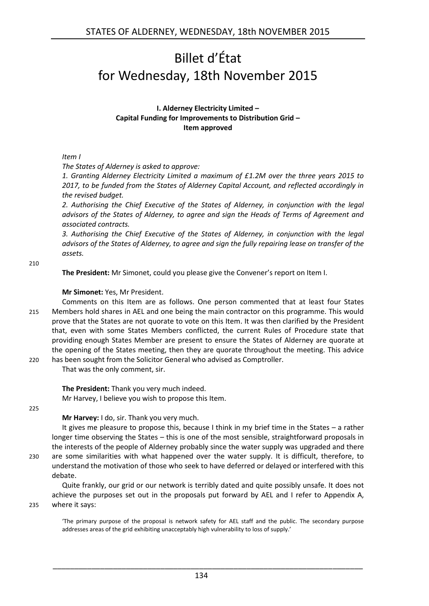# <span id="page-7-0"></span>Billet d'État for Wednesday, 18th November 2015

### **I. Alderney Electricity Limited – Capital Funding for Improvements to Distribution Grid – Item approved**

# <span id="page-7-1"></span>*Item I*

*The States of Alderney is asked to approve:*

*1. Granting Alderney Electricity Limited a maximum of £1.2M over the three years 2015 to 2017, to be funded from the States of Alderney Capital Account, and reflected accordingly in the revised budget.* 

*2. Authorising the Chief Executive of the States of Alderney, in conjunction with the legal advisors of the States of Alderney, to agree and sign the Heads of Terms of Agreement and associated contracts.* 

*3. Authorising the Chief Executive of the States of Alderney, in conjunction with the legal advisors of the States of Alderney, to agree and sign the fully repairing lease on transfer of the assets.* 

210

**The President:** Mr Simonet, could you please give the Convener's report on Item I.

# **Mr Simonet:** Yes, Mr President.

Comments on this Item are as follows. One person commented that at least four States 215 Members hold shares in AEL and one being the main contractor on this programme. This would prove that the States are not quorate to vote on this Item. It was then clarified by the President that, even with some States Members conflicted, the current Rules of Procedure state that providing enough States Member are present to ensure the States of Alderney are quorate at the opening of the States meeting, then they are quorate throughout the meeting. This advice 220 has been sought from the Solicitor General who advised as Comptroller.

That was the only comment, sir.

**The President:** Thank you very much indeed. Mr Harvey, I believe you wish to propose this Item.

225

**Mr Harvey:** I do, sir. Thank you very much.

It gives me pleasure to propose this, because I think in my brief time in the States – a rather longer time observing the States – this is one of the most sensible, straightforward proposals in the interests of the people of Alderney probably since the water supply was upgraded and there 230 are some similarities with what happened over the water supply. It is difficult, therefore, to understand the motivation of those who seek to have deferred or delayed or interfered with this debate.

Quite frankly, our grid or our network is terribly dated and quite possibly unsafe. It does not achieve the purposes set out in the proposals put forward by AEL and I refer to Appendix A, 235 where it says:

'The primary purpose of the proposal is network safety for AEL staff and the public. The secondary purpose addresses areas of the grid exhibiting unacceptably high vulnerability to loss of supply.'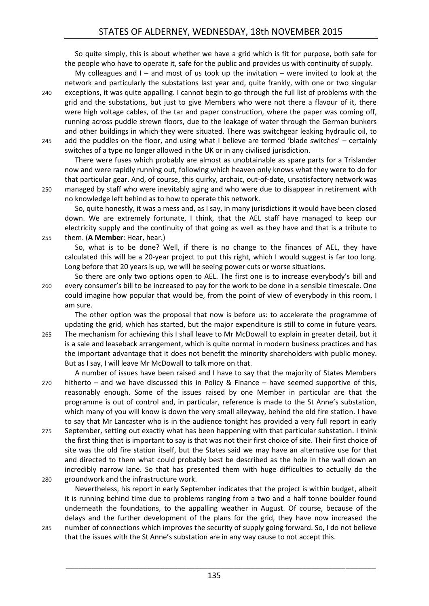So quite simply, this is about whether we have a grid which is fit for purpose, both safe for the people who have to operate it, safe for the public and provides us with continuity of supply.

My colleagues and  $I -$  and most of us took up the invitation  $-$  were invited to look at the network and particularly the substations last year and, quite frankly, with one or two singular

240 exceptions, it was quite appalling. I cannot begin to go through the full list of problems with the grid and the substations, but just to give Members who were not there a flavour of it, there were high voltage cables, of the tar and paper construction, where the paper was coming off, running across puddle strewn floors, due to the leakage of water through the German bunkers and other buildings in which they were situated. There was switchgear leaking hydraulic oil, to 245 add the puddles on the floor, and using what I believe are termed 'blade switches' – certainly switches of a type no longer allowed in the UK or in any civilised jurisdiction.

There were fuses which probably are almost as unobtainable as spare parts for a Trislander now and were rapidly running out, following which heaven only knows what they were to do for that particular gear. And, of course, this quirky, archaic, out-of-date, unsatisfactory network was 250 managed by staff who were inevitably aging and who were due to disappear in retirement with no knowledge left behind as to how to operate this network.

So, quite honestly, it was a mess and, as I say, in many jurisdictions it would have been closed down. We are extremely fortunate, I think, that the AEL staff have managed to keep our electricity supply and the continuity of that going as well as they have and that is a tribute to 255 them. (**A Member**: Hear, hear.)

So, what is to be done? Well, if there is no change to the finances of AEL, they have calculated this will be a 20-year project to put this right, which I would suggest is far too long. Long before that 20 years is up, we will be seeing power cuts or worse situations.

So there are only two options open to AEL. The first one is to increase everybody's bill and 260 every consumer's bill to be increased to pay for the work to be done in a sensible timescale. One could imagine how popular that would be, from the point of view of everybody in this room, I am sure.

The other option was the proposal that now is before us: to accelerate the programme of updating the grid, which has started, but the major expenditure is still to come in future years.

265 The mechanism for achieving this I shall leave to Mr McDowall to explain in greater detail, but it is a sale and leaseback arrangement, which is quite normal in modern business practices and has the important advantage that it does not benefit the minority shareholders with public money. But as I say, I will leave Mr McDowall to talk more on that.

A number of issues have been raised and I have to say that the majority of States Members 270 hitherto – and we have discussed this in Policy & Finance – have seemed supportive of this, reasonably enough. Some of the issues raised by one Member in particular are that the programme is out of control and, in particular, reference is made to the St Anne's substation, which many of you will know is down the very small alleyway, behind the old fire station. I have to say that Mr Lancaster who is in the audience tonight has provided a very full report in early

275 September, setting out exactly what has been happening with that particular substation. I think the first thing that is important to say is that was not their first choice of site. Their first choice of site was the old fire station itself, but the States said we may have an alternative use for that and directed to them what could probably best be described as the hole in the wall down an incredibly narrow lane. So that has presented them with huge difficulties to actually do the 280 groundwork and the infrastructure work.

- Nevertheless, his report in early September indicates that the project is within budget, albeit it is running behind time due to problems ranging from a two and a half tonne boulder found underneath the foundations, to the appalling weather in August. Of course, because of the delays and the further development of the plans for the grid, they have now increased the 285 number of connections which improves the security of supply going forward. So, I do not believe
- that the issues with the St Anne's substation are in any way cause to not accept this.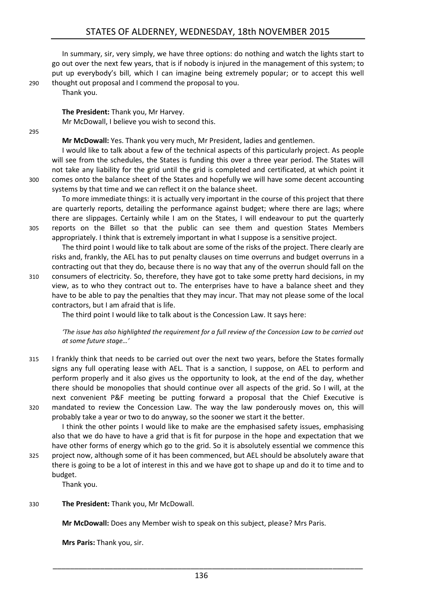In summary, sir, very simply, we have three options: do nothing and watch the lights start to go out over the next few years, that is if nobody is injured in the management of this system; to put up everybody's bill, which I can imagine being extremely popular; or to accept this well 290 thought out proposal and I commend the proposal to you.

Thank you.

**The President:** Thank you, Mr Harvey. Mr McDowall, I believe you wish to second this.

295

**Mr McDowall:** Yes. Thank you very much, Mr President, ladies and gentlemen.

I would like to talk about a few of the technical aspects of this particularly project. As people will see from the schedules, the States is funding this over a three year period. The States will not take any liability for the grid until the grid is completed and certificated, at which point it 300 comes onto the balance sheet of the States and hopefully we will have some decent accounting systems by that time and we can reflect it on the balance sheet.

To more immediate things: it is actually very important in the course of this project that there are quarterly reports, detailing the performance against budget; where there are lags; where there are slippages. Certainly while I am on the States, I will endeavour to put the quarterly 305 reports on the Billet so that the public can see them and question States Members appropriately. I think that is extremely important in what I suppose is a sensitive project.

The third point I would like to talk about are some of the risks of the project. There clearly are risks and, frankly, the AEL has to put penalty clauses on time overruns and budget overruns in a contracting out that they do, because there is no way that any of the overrun should fall on the

310 consumers of electricity. So, therefore, they have got to take some pretty hard decisions, in my view, as to who they contract out to. The enterprises have to have a balance sheet and they have to be able to pay the penalties that they may incur. That may not please some of the local contractors, but I am afraid that is life.

The third point I would like to talk about is the Concession Law. It says here:

*'The issue has also highlighted the requirement for a full review of the Concession Law to be carried out at some future stage…'*

315 I frankly think that needs to be carried out over the next two years, before the States formally signs any full operating lease with AEL. That is a sanction, I suppose, on AEL to perform and perform properly and it also gives us the opportunity to look, at the end of the day, whether there should be monopolies that should continue over all aspects of the grid. So I will, at the next convenient P&F meeting be putting forward a proposal that the Chief Executive is 320 mandated to review the Concession Law. The way the law ponderously moves on, this will probably take a year or two to do anyway, so the sooner we start it the better.

I think the other points I would like to make are the emphasised safety issues, emphasising also that we do have to have a grid that is fit for purpose in the hope and expectation that we have other forms of energy which go to the grid. So it is absolutely essential we commence this

325 project now, although some of it has been commenced, but AEL should be absolutely aware that there is going to be a lot of interest in this and we have got to shape up and do it to time and to budget.

Thank you.

330 **The President:** Thank you, Mr McDowall.

**Mr McDowall:** Does any Member wish to speak on this subject, please? Mrs Paris.

**Mrs Paris:** Thank you, sir.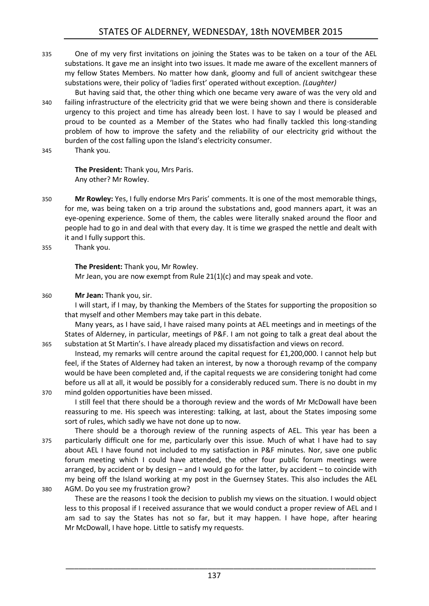- 335 One of my very first invitations on joining the States was to be taken on a tour of the AEL substations. It gave me an insight into two issues. It made me aware of the excellent manners of my fellow States Members. No matter how dank, gloomy and full of ancient switchgear these substations were, their policy of 'ladies first' operated without exception. *(Laughter)*
- But having said that, the other thing which one became very aware of was the very old and 340 failing infrastructure of the electricity grid that we were being shown and there is considerable urgency to this project and time has already been lost. I have to say I would be pleased and proud to be counted as a Member of the States who had finally tackled this long-standing problem of how to improve the safety and the reliability of our electricity grid without the burden of the cost falling upon the Island's electricity consumer.
- 345 Thank you.

**The President:** Thank you, Mrs Paris. Any other? Mr Rowley.

- 350 **Mr Rowley:** Yes, I fully endorse Mrs Paris' comments. It is one of the most memorable things, for me, was being taken on a trip around the substations and, good manners apart, it was an eye-opening experience. Some of them, the cables were literally snaked around the floor and people had to go in and deal with that every day. It is time we grasped the nettle and dealt with it and I fully support this.
- 355 Thank you.

**The President:** Thank you, Mr Rowley. Mr Jean, you are now exempt from Rule 21(1)(c) and may speak and vote.

#### 360 **Mr Jean:** Thank you, sir.

I will start, if I may, by thanking the Members of the States for supporting the proposition so that myself and other Members may take part in this debate.

Many years, as I have said, I have raised many points at AEL meetings and in meetings of the States of Alderney, in particular, meetings of P&F. I am not going to talk a great deal about the 365 substation at St Martin's. I have already placed my dissatisfaction and views on record.

Instead, my remarks will centre around the capital request for £1,200,000. I cannot help but feel, if the States of Alderney had taken an interest, by now a thorough revamp of the company would be have been completed and, if the capital requests we are considering tonight had come before us all at all, it would be possibly for a considerably reduced sum. There is no doubt in my 370 mind golden opportunities have been missed.

I still feel that there should be a thorough review and the words of Mr McDowall have been reassuring to me. His speech was interesting: talking, at last, about the States imposing some sort of rules, which sadly we have not done up to now.

There should be a thorough review of the running aspects of AEL. This year has been a 375 particularly difficult one for me, particularly over this issue. Much of what I have had to say about AEL I have found not included to my satisfaction in P&F minutes. Nor, save one public forum meeting which I could have attended, the other four public forum meetings were arranged, by accident or by design – and I would go for the latter, by accident – to coincide with my being off the Island working at my post in the Guernsey States. This also includes the AEL

380 AGM. Do you see my frustration grow?

These are the reasons I took the decision to publish my views on the situation. I would object less to this proposal if I received assurance that we would conduct a proper review of AEL and I am sad to say the States has not so far, but it may happen. I have hope, after hearing Mr McDowall, I have hope. Little to satisfy my requests.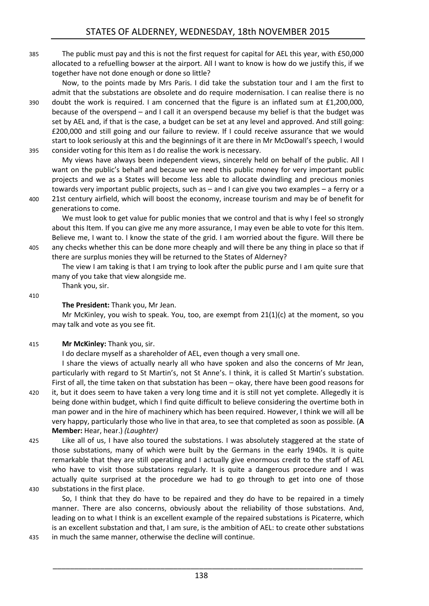385 The public must pay and this is not the first request for capital for AEL this year, with £50,000 allocated to a refuelling bowser at the airport. All I want to know is how do we justify this, if we together have not done enough or done so little?

Now, to the points made by Mrs Paris. I did take the substation tour and I am the first to admit that the substations are obsolete and do require modernisation. I can realise there is no 390 doubt the work is required. I am concerned that the figure is an inflated sum at £1,200,000, because of the overspend – and I call it an overspend because my belief is that the budget was set by AEL and, if that is the case, a budget can be set at any level and approved. And still going: £200,000 and still going and our failure to review. If I could receive assurance that we would start to look seriously at this and the beginnings of it are there in Mr McDowall's speech, I would 395 consider voting for this Item as I do realise the work is necessary.

My views have always been independent views, sincerely held on behalf of the public. All I want on the public's behalf and because we need this public money for very important public projects and we as a States will become less able to allocate dwindling and precious monies towards very important public projects, such as – and I can give you two examples – a ferry or a 400 21st century airfield, which will boost the economy, increase tourism and may be of benefit for generations to come.

We must look to get value for public monies that we control and that is why I feel so strongly about this Item. If you can give me any more assurance, I may even be able to vote for this Item. Believe me, I want to. I know the state of the grid. I am worried about the figure. Will there be 405 any checks whether this can be done more cheaply and will there be any thing in place so that if there are surplus monies they will be returned to the States of Alderney?

The view I am taking is that I am trying to look after the public purse and I am quite sure that many of you take that view alongside me.

410

# **The President:** Thank you, Mr Jean.

Mr McKinley, you wish to speak. You, too, are exempt from  $21(1)(c)$  at the moment, so you may talk and vote as you see fit.

415 **Mr McKinley:** Thank you, sir.

Thank you, sir.

I do declare myself as a shareholder of AEL, even though a very small one.

I share the views of actually nearly all who have spoken and also the concerns of Mr Jean, particularly with regard to St Martin's, not St Anne's. I think, it is called St Martin's substation. First of all, the time taken on that substation has been – okay, there have been good reasons for

- 420 it, but it does seem to have taken a very long time and it is still not yet complete. Allegedly it is being done within budget, which I find quite difficult to believe considering the overtime both in man power and in the hire of machinery which has been required. However, I think we will all be very happy, particularly those who live in that area, to see that completed as soon as possible. (**A Member:** Hear, hear.) *(Laughter)*
- 425 Like all of us, I have also toured the substations. I was absolutely staggered at the state of those substations, many of which were built by the Germans in the early 1940s. It is quite remarkable that they are still operating and I actually give enormous credit to the staff of AEL who have to visit those substations regularly. It is quite a dangerous procedure and I was actually quite surprised at the procedure we had to go through to get into one of those 430 substations in the first place.

So, I think that they do have to be repaired and they do have to be repaired in a timely manner. There are also concerns, obviously about the reliability of those substations. And, leading on to what I think is an excellent example of the repaired substations is Picaterre, which is an excellent substation and that, I am sure, is the ambition of AEL: to create other substations

435 in much the same manner, otherwise the decline will continue.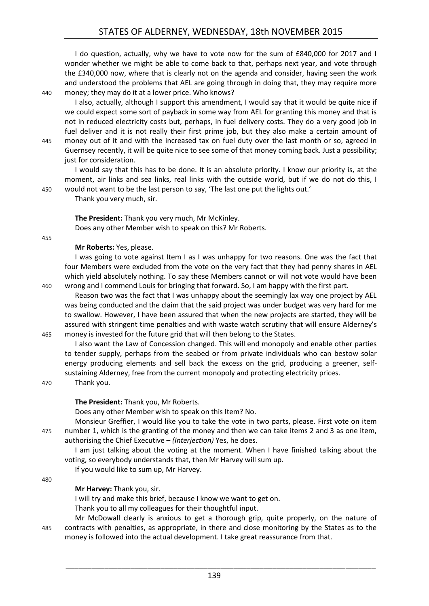I do question, actually, why we have to vote now for the sum of £840,000 for 2017 and I wonder whether we might be able to come back to that, perhaps next year, and vote through the £340,000 now, where that is clearly not on the agenda and consider, having seen the work and understood the problems that AEL are going through in doing that, they may require more 440 money; they may do it at a lower price. Who knows?

I also, actually, although I support this amendment, I would say that it would be quite nice if we could expect some sort of payback in some way from AEL for granting this money and that is not in reduced electricity costs but, perhaps, in fuel delivery costs. They do a very good job in fuel deliver and it is not really their first prime job, but they also make a certain amount of 445 money out of it and with the increased tax on fuel duty over the last month or so, agreed in Guernsey recently, it will be quite nice to see some of that money coming back. Just a possibility; just for consideration.

I would say that this has to be done. It is an absolute priority. I know our priority is, at the moment, air links and sea links, real links with the outside world, but if we do not do this, I 450 would not want to be the last person to say, 'The last one put the lights out.'

Thank you very much, sir.

**The President:** Thank you very much, Mr McKinley.

Does any other Member wish to speak on this? Mr Roberts.

455

### **Mr Roberts:** Yes, please.

I was going to vote against Item I as I was unhappy for two reasons. One was the fact that four Members were excluded from the vote on the very fact that they had penny shares in AEL which yield absolutely nothing. To say these Members cannot or will not vote would have been 460 wrong and I commend Louis for bringing that forward. So, I am happy with the first part.

Reason two was the fact that I was unhappy about the seemingly lax way one project by AEL was being conducted and the claim that the said project was under budget was very hard for me to swallow. However, I have been assured that when the new projects are started, they will be assured with stringent time penalties and with waste watch scrutiny that will ensure Alderney's 465 money is invested for the future grid that will then belong to the States.

I also want the Law of Concession changed. This will end monopoly and enable other parties to tender supply, perhaps from the seabed or from private individuals who can bestow solar energy producing elements and sell back the excess on the grid, producing a greener, selfsustaining Alderney, free from the current monopoly and protecting electricity prices.

470 Thank you.

# **The President:** Thank you, Mr Roberts.

Does any other Member wish to speak on this Item? No.

Monsieur Greffier, I would like you to take the vote in two parts, please. First vote on item 475 number 1, which is the granting of the money and then we can take items 2 and 3 as one item, authorising the Chief Executive – *(Interjection)* Yes, he does.

I am just talking about the voting at the moment. When I have finished talking about the voting, so everybody understands that, then Mr Harvey will sum up.

If you would like to sum up, Mr Harvey.

480

# **Mr Harvey:** Thank you, sir.

I will try and make this brief, because I know we want to get on.

Thank you to all my colleagues for their thoughtful input.

Mr McDowall clearly is anxious to get a thorough grip, quite properly, on the nature of 485 contracts with penalties, as appropriate, in there and close monitoring by the States as to the money is followed into the actual development. I take great reassurance from that.

139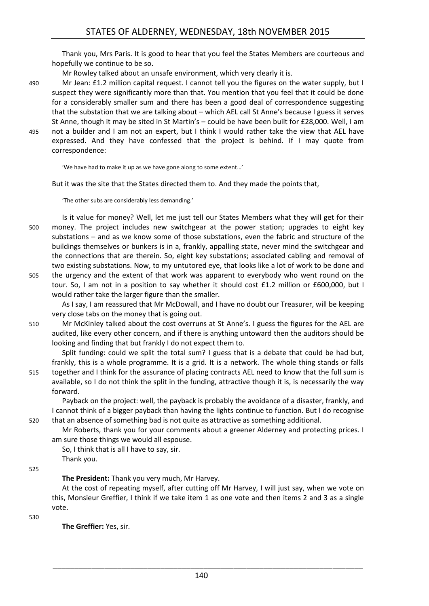Thank you, Mrs Paris. It is good to hear that you feel the States Members are courteous and hopefully we continue to be so.

Mr Rowley talked about an unsafe environment, which very clearly it is.

490 Mr Jean: £1.2 million capital request. I cannot tell you the figures on the water supply, but I suspect they were significantly more than that. You mention that you feel that it could be done for a considerably smaller sum and there has been a good deal of correspondence suggesting that the substation that we are talking about – which AEL call St Anne's because I guess it serves St Anne, though it may be sited in St Martin's – could be have been built for £28,000. Well, I am 495 not a builder and I am not an expert, but I think I would rather take the view that AEL have expressed. And they have confessed that the project is behind. If I may quote from correspondence:

'We have had to make it up as we have gone along to some extent…'

But it was the site that the States directed them to. And they made the points that,

'The other subs are considerably less demanding.'

Is it value for money? Well, let me just tell our States Members what they will get for their 500 money. The project includes new switchgear at the power station; upgrades to eight key substations – and as we know some of those substations, even the fabric and structure of the buildings themselves or bunkers is in a, frankly, appalling state, never mind the switchgear and the connections that are therein. So, eight key substations; associated cabling and removal of two existing substations. Now, to my untutored eye, that looks like a lot of work to be done and

505 the urgency and the extent of that work was apparent to everybody who went round on the tour. So, I am not in a position to say whether it should cost £1.2 million or £600,000, but I would rather take the larger figure than the smaller.

As I say, I am reassured that Mr McDowall, and I have no doubt our Treasurer, will be keeping very close tabs on the money that is going out.

510 Mr McKinley talked about the cost overruns at St Anne's. I guess the figures for the AEL are audited, like every other concern, and if there is anything untoward then the auditors should be looking and finding that but frankly I do not expect them to.

Split funding: could we split the total sum? I guess that is a debate that could be had but, frankly, this is a whole programme. It is a grid. It is a network. The whole thing stands or falls 515 together and I think for the assurance of placing contracts AEL need to know that the full sum is available, so I do not think the split in the funding, attractive though it is, is necessarily the way forward.

Payback on the project: well, the payback is probably the avoidance of a disaster, frankly, and I cannot think of a bigger payback than having the lights continue to function. But I do recognise 520 that an absence of something bad is not quite as attractive as something additional.

Mr Roberts, thank you for your comments about a greener Alderney and protecting prices. I am sure those things we would all espouse.

So, I think that is all I have to say, sir.

Thank you.

525

**The President:** Thank you very much, Mr Harvey.

At the cost of repeating myself, after cutting off Mr Harvey, I will just say, when we vote on this, Monsieur Greffier, I think if we take item 1 as one vote and then items 2 and 3 as a single vote.

530

**The Greffier:** Yes, sir.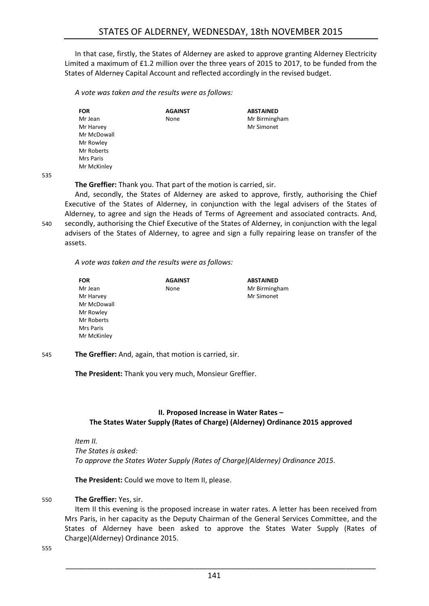In that case, firstly, the States of Alderney are asked to approve granting Alderney Electricity Limited a maximum of £1.2 million over the three years of 2015 to 2017, to be funded from the States of Alderney Capital Account and reflected accordingly in the revised budget.

*A vote was taken and the results were as follows:*

| <b>FOR</b>  | <b>AGAINST</b> | <b>ABSTAINED</b> |
|-------------|----------------|------------------|
| Mr Jean     | None           | Mr Birmingham    |
| Mr Harvey   |                | Mr Simonet       |
| Mr McDowall |                |                  |
| Mr Rowley   |                |                  |
| Mr Roberts  |                |                  |
| Mrs Paris   |                |                  |
| Mr McKinley |                |                  |

535

**The Greffier:** Thank you. That part of the motion is carried, sir.

And, secondly, the States of Alderney are asked to approve, firstly, authorising the Chief Executive of the States of Alderney, in conjunction with the legal advisers of the States of Alderney, to agree and sign the Heads of Terms of Agreement and associated contracts. And, 540 secondly, authorising the Chief Executive of the States of Alderney, in conjunction with the legal advisers of the States of Alderney, to agree and sign a fully repairing lease on transfer of the assets.

*A vote was taken and the results were as follows:*

| <b>FOR</b>  | <b>AGAINST</b> | <b>ABSTAINED</b> |
|-------------|----------------|------------------|
| Mr Jean     | None           | Mr Birmingham    |
| Mr Harvey   |                | Mr Simonet       |
| Mr McDowall |                |                  |
| Mr Rowley   |                |                  |
| Mr Roberts  |                |                  |
| Mrs Paris   |                |                  |
| Mr McKinley |                |                  |

545 **The Greffier:** And, again, that motion is carried, sir.

**The President:** Thank you very much, Monsieur Greffier.

# <span id="page-14-0"></span>**II. Proposed Increase in Water Rates – The States Water Supply (Rates of Charge) (Alderney) Ordinance 2015 approved**

*Item II. The States is asked: To approve the States Water Supply (Rates of Charge)(Alderney) Ordinance 2015.*

**The President:** Could we move to Item II, please.

# 550 **The Greffier:** Yes, sir.

Item II this evening is the proposed increase in water rates. A letter has been received from Mrs Paris, in her capacity as the Deputy Chairman of the General Services Committee, and the States of Alderney have been asked to approve the States Water Supply (Rates of Charge)(Alderney) Ordinance 2015.

555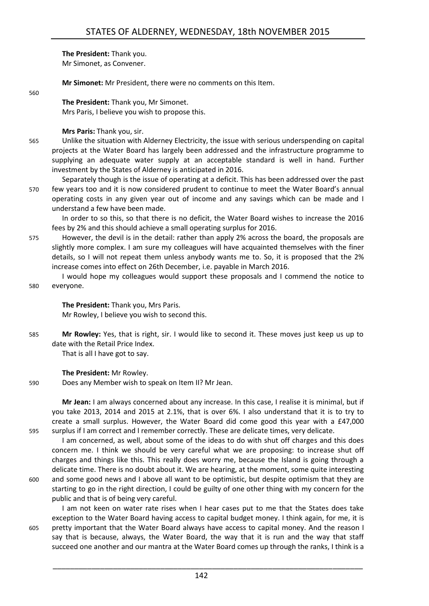**The President:** Thank you. Mr Simonet, as Convener.

**Mr Simonet:** Mr President, there were no comments on this Item.

#### 560

**The President:** Thank you, Mr Simonet. Mrs Paris, I believe you wish to propose this.

**Mrs Paris:** Thank you, sir.

- 565 Unlike the situation with Alderney Electricity, the issue with serious underspending on capital projects at the Water Board has largely been addressed and the infrastructure programme to supplying an adequate water supply at an acceptable standard is well in hand. Further investment by the States of Alderney is anticipated in 2016.
- Separately though is the issue of operating at a deficit. This has been addressed over the past 570 few years too and it is now considered prudent to continue to meet the Water Board's annual operating costs in any given year out of income and any savings which can be made and I understand a few have been made.

In order to so this, so that there is no deficit, the Water Board wishes to increase the 2016 fees by 2% and this should achieve a small operating surplus for 2016.

- 575 However, the devil is in the detail: rather than apply 2% across the board, the proposals are slightly more complex. I am sure my colleagues will have acquainted themselves with the finer details, so I will not repeat them unless anybody wants me to. So, it is proposed that the 2% increase comes into effect on 26th December, i.e. payable in March 2016.
- I would hope my colleagues would support these proposals and I commend the notice to 580 everyone.

# **The President:** Thank you, Mrs Paris. Mr Rowley, I believe you wish to second this.

585 **Mr Rowley:** Yes, that is right, sir. I would like to second it. These moves just keep us up to date with the Retail Price Index.

That is all I have got to say.

# **The President:** Mr Rowley.

590 Does any Member wish to speak on Item II? Mr Jean.

**Mr Jean:** I am always concerned about any increase. In this case, I realise it is minimal, but if you take 2013, 2014 and 2015 at 2.1%, that is over 6%. I also understand that it is to try to create a small surplus. However, the Water Board did come good this year with a £47,000 595 surplus if I am correct and I remember correctly. These are delicate times, very delicate.

I am concerned, as well, about some of the ideas to do with shut off charges and this does concern me. I think we should be very careful what we are proposing: to increase shut off charges and things like this. This really does worry me, because the Island is going through a delicate time. There is no doubt about it. We are hearing, at the moment, some quite interesting

600 and some good news and I above all want to be optimistic, but despite optimism that they are starting to go in the right direction, I could be guilty of one other thing with my concern for the public and that is of being very careful.

I am not keen on water rate rises when I hear cases put to me that the States does take exception to the Water Board having access to capital budget money. I think again, for me, it is 605 pretty important that the Water Board always have access to capital money. And the reason I say that is because, always, the Water Board, the way that it is run and the way that staff succeed one another and our mantra at the Water Board comes up through the ranks, I think is a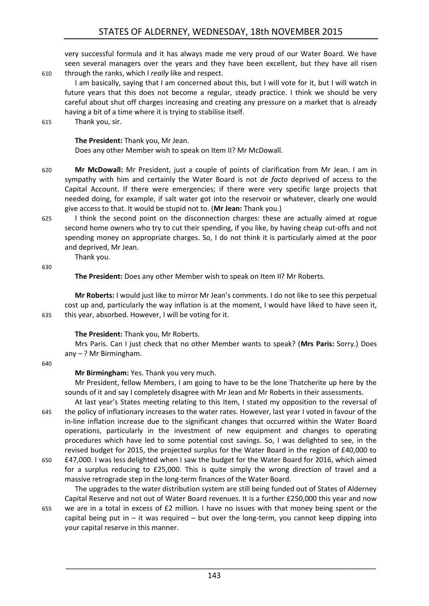very successful formula and it has always made me very proud of our Water Board. We have seen several managers over the years and they have been excellent, but they have all risen 610 through the ranks, which I *really* like and respect.

I am basically, saying that I am concerned about this, but I will vote for it, but I will watch in future years that this does not become a regular, steady practice. I think we should be very careful about shut off charges increasing and creating any pressure on a market that is already having a bit of a time where it is trying to stabilise itself.

615 Thank you, sir.

**The President:** Thank you, Mr Jean.

Does any other Member wish to speak on Item II? Mr McDowall.

- 620 **Mr McDowall:** Mr President, just a couple of points of clarification from Mr Jean. I am in sympathy with him and certainly the Water Board is not *de facto* deprived of access to the Capital Account. If there were emergencies; if there were very specific large projects that needed doing, for example, if salt water got into the reservoir or whatever, clearly one would give access to that. It would be stupid not to. (**Mr Jean:** Thank you.)
- 625 I think the second point on the disconnection charges: these are actually aimed at rogue second home owners who try to cut their spending, if you like, by having cheap cut-offs and not spending money on appropriate charges. So, I do not think it is particularly aimed at the poor and deprived, Mr Jean.

Thank you.

630

**The President:** Does any other Member wish to speak on Item II? Mr Roberts.

**Mr Roberts:** I would just like to mirror Mr Jean's comments. I do not like to see this perpetual cost up and, particularly the way inflation is at the moment, I would have liked to have seen it, 635 this year, absorbed. However, I will be voting for it.

# **The President:** Thank you, Mr Roberts.

Mrs Paris. Can I just check that no other Member wants to speak? (**Mrs Paris:** Sorry.) Does any – ? Mr Birmingham.

640

# **Mr Birmingham:** Yes. Thank you very much.

Mr President, fellow Members, I am going to have to be the lone Thatcherite up here by the sounds of it and say I completely disagree with Mr Jean and Mr Roberts in their assessments.

At last year's States meeting relating to this Item, I stated my opposition to the reversal of 645 the policy of inflationary increases to the water rates. However, last year I voted in favour of the in-line inflation increase due to the significant changes that occurred within the Water Board operations, particularly in the investment of new equipment and changes to operating procedures which have led to some potential cost savings. So, I was delighted to see, in the revised budget for 2015, the projected surplus for the Water Board in the region of £40,000 to 650 £47,000. I was less delighted when I saw the budget for the Water Board for 2016, which aimed

for a surplus reducing to £25,000. This is quite simply the wrong direction of travel and a massive retrograde step in the long-term finances of the Water Board.

The upgrades to the water distribution system are still being funded out of States of Alderney Capital Reserve and not out of Water Board revenues. It is a further £250,000 this year and now 655 we are in a total in excess of £2 million. I have no issues with that money being spent or the capital being put in  $-$  it was required  $-$  but over the long-term, you cannot keep dipping into your capital reserve in this manner.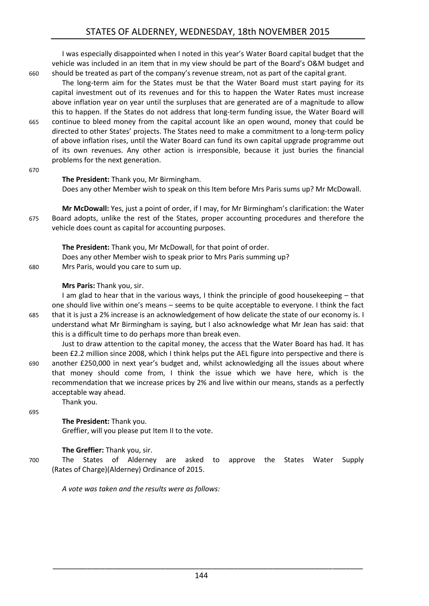# STATES OF ALDERNEY, WEDNESDAY, 18th NOVEMBER 2015

I was especially disappointed when I noted in this year's Water Board capital budget that the vehicle was included in an item that in my view should be part of the Board's O&M budget and 660 should be treated as part of the company's revenue stream, not as part of the capital grant.

The long-term aim for the States must be that the Water Board must start paying for its capital investment out of its revenues and for this to happen the Water Rates must increase above inflation year on year until the surpluses that are generated are of a magnitude to allow this to happen. If the States do not address that long-term funding issue, the Water Board will 665 continue to bleed money from the capital account like an open wound, money that could be directed to other States' projects. The States need to make a commitment to a long-term policy of above inflation rises, until the Water Board can fund its own capital upgrade programme out of its own revenues. Any other action is irresponsible, because it just buries the financial problems for the next generation.

670

#### **The President:** Thank you, Mr Birmingham.

Does any other Member wish to speak on this Item before Mrs Paris sums up? Mr McDowall.

**Mr McDowall:** Yes, just a point of order, if I may, for Mr Birmingham's clarification: the Water 675 Board adopts, unlike the rest of the States, proper accounting procedures and therefore the vehicle does count as capital for accounting purposes.

**The President:** Thank you, Mr McDowall, for that point of order. Does any other Member wish to speak prior to Mrs Paris summing up? 680 Mrs Paris, would you care to sum up.

#### **Mrs Paris:** Thank you, sir.

I am glad to hear that in the various ways, I think the principle of good housekeeping – that one should live within one's means – seems to be quite acceptable to everyone. I think the fact 685 that it is just a 2% increase is an acknowledgement of how delicate the state of our economy is. I understand what Mr Birmingham is saying, but I also acknowledge what Mr Jean has said: that this is a difficult time to do perhaps more than break even.

Just to draw attention to the capital money, the access that the Water Board has had. It has been £2.2 million since 2008, which I think helps put the AEL figure into perspective and there is 690 another £250,000 in next year's budget and, whilst acknowledging all the issues about where that money should come from, I think the issue which we have here, which is the recommendation that we increase prices by 2% and live within our means, stands as a perfectly acceptable way ahead.

695

# **The President:** Thank you.

Thank you.

Greffier, will you please put Item II to the vote.

# **The Greffier:** Thank you, sir.

700 The States of Alderney are asked to approve the States Water Supply (Rates of Charge)(Alderney) Ordinance of 2015.

*A vote was taken and the results were as follows:*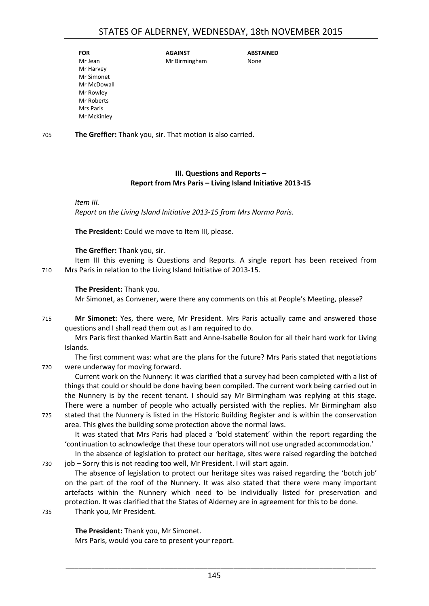| <b>FOR</b>  | <b>AGAINST</b> | <b>ABSTAINED</b> |
|-------------|----------------|------------------|
| Mr Jean     | Mr Birmingham  | None             |
| Mr Harvey   |                |                  |
| Mr Simonet  |                |                  |
| Mr McDowall |                |                  |
| Mr Rowley   |                |                  |
| Mr Roberts  |                |                  |
| Mrs Paris   |                |                  |
| Mr McKinley |                |                  |
|             |                |                  |

705 **The Greffier:** Thank you, sir. That motion is also carried.

#### **III. Questions and Reports – Report from Mrs Paris – Living Island Initiative 2013-15**

<span id="page-18-0"></span>*Item III.*

*Report on the Living Island Initiative 2013-15 from Mrs Norma Paris.*

**The President:** Could we move to Item III, please.

**The Greffier:** Thank you, sir.

Item III this evening is Questions and Reports. A single report has been received from 710 Mrs Paris in relation to the Living Island Initiative of 2013-15.

#### **The President:** Thank you.

Mr Simonet, as Convener, were there any comments on this at People's Meeting, please?

715 **Mr Simonet:** Yes, there were, Mr President. Mrs Paris actually came and answered those questions and I shall read them out as I am required to do.

Mrs Paris first thanked Martin Batt and Anne-Isabelle Boulon for all their hard work for Living Islands.

The first comment was: what are the plans for the future? Mrs Paris stated that negotiations 720 were underway for moving forward.

Current work on the Nunnery: it was clarified that a survey had been completed with a list of things that could or should be done having been compiled. The current work being carried out in the Nunnery is by the recent tenant. I should say Mr Birmingham was replying at this stage. There were a number of people who actually persisted with the replies. Mr Birmingham also 725 stated that the Nunnery is listed in the Historic Building Register and is within the conservation area. This gives the building some protection above the normal laws.

It was stated that Mrs Paris had placed a 'bold statement' within the report regarding the 'continuation to acknowledge that these tour operators will not use ungraded accommodation.'

In the absence of legislation to protect our heritage, sites were raised regarding the botched 730 job – Sorry this is not reading too well, Mr President. I will start again.

The absence of legislation to protect our heritage sites was raised regarding the 'botch job' on the part of the roof of the Nunnery. It was also stated that there were many important artefacts within the Nunnery which need to be individually listed for preservation and protection. It was clarified that the States of Alderney are in agreement for this to be done.

735 Thank you, Mr President.

**The President:** Thank you, Mr Simonet. Mrs Paris, would you care to present your report.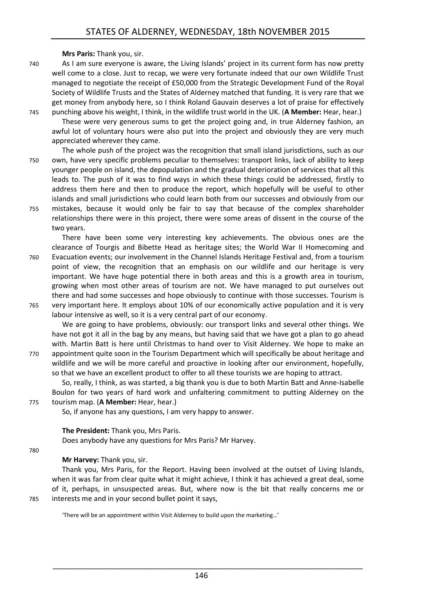**Mrs Paris:** Thank you, sir.

- 740 As I am sure everyone is aware, the Living Islands' project in its current form has now pretty well come to a close. Just to recap, we were very fortunate indeed that our own Wildlife Trust managed to negotiate the receipt of £50,000 from the Strategic Development Fund of the Royal Society of Wildlife Trusts and the States of Alderney matched that funding. It is very rare that we get money from anybody here, so I think Roland Gauvain deserves a lot of praise for effectively
- 745 punching above his weight, I think, in the wildlife trust world in the UK. (**A Member:** Hear, hear.) These were very generous sums to get the project going and, in true Alderney fashion, an awful lot of voluntary hours were also put into the project and obviously they are very much appreciated wherever they came.
- The whole push of the project was the recognition that small island jurisdictions, such as our 750 own, have very specific problems peculiar to themselves: transport links, lack of ability to keep younger people on island, the depopulation and the gradual deterioration of services that all this leads to. The push of it was to find ways in which these things could be addressed, firstly to address them here and then to produce the report, which hopefully will be useful to other islands and small jurisdictions who could learn both from our successes and obviously from our 755 mistakes, because it would only be fair to say that because of the complex shareholder
- relationships there were in this project, there were some areas of dissent in the course of the two years.

There have been some very interesting key achievements. The obvious ones are the clearance of Tourgis and Bibette Head as heritage sites; the World War II Homecoming and 760 Evacuation events; our involvement in the Channel Islands Heritage Festival and, from a tourism point of view, the recognition that an emphasis on our wildlife and our heritage is very important. We have huge potential there in both areas and this is a growth area in tourism, growing when most other areas of tourism are not. We have managed to put ourselves out there and had some successes and hope obviously to continue with those successes. Tourism is 765 very important here. It employs about 10% of our economically active population and it is very

labour intensive as well, so it is a very central part of our economy.

We are going to have problems, obviously: our transport links and several other things. We have not got it all in the bag by any means, but having said that we have got a plan to go ahead with. Martin Batt is here until Christmas to hand over to Visit Alderney. We hope to make an 770 appointment quite soon in the Tourism Department which will specifically be about heritage and wildlife and we will be more careful and proactive in looking after our environment, hopefully, so that we have an excellent product to offer to all these tourists we are hoping to attract.

So, really, I think, as was started, a big thank you is due to both Martin Batt and Anne-Isabelle Boulon for two years of hard work and unfaltering commitment to putting Alderney on the 775 tourism map. (**A Member:** Hear, hear.)

So, if anyone has any questions, I am very happy to answer.

**The President:** Thank you, Mrs Paris.

Does anybody have any questions for Mrs Paris? Mr Harvey.

#### 780

# **Mr Harvey:** Thank you, sir.

Thank you, Mrs Paris, for the Report. Having been involved at the outset of Living Islands, when it was far from clear quite what it might achieve, I think it has achieved a great deal, some of it, perhaps, in unsuspected areas. But, where now is the bit that really concerns me or 785 interests me and in your second bullet point it says,

'There will be an appointment within Visit Alderney to build upon the marketing…'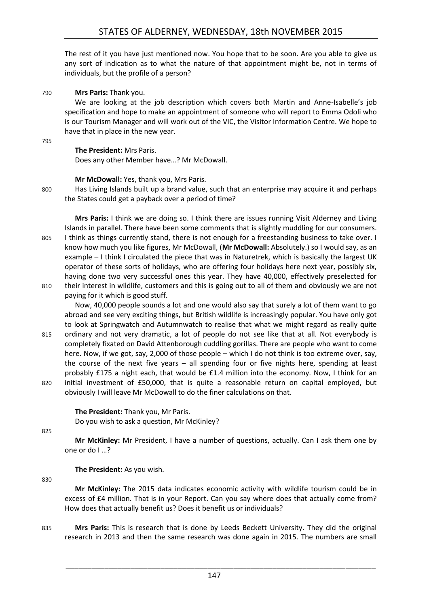The rest of it you have just mentioned now. You hope that to be soon. Are you able to give us any sort of indication as to what the nature of that appointment might be, not in terms of individuals, but the profile of a person?

790 **Mrs Paris:** Thank you.

We are looking at the job description which covers both Martin and Anne-Isabelle's job specification and hope to make an appointment of someone who will report to Emma Odoli who is our Tourism Manager and will work out of the VIC, the Visitor Information Centre. We hope to have that in place in the new year.

795

#### **The President:** Mrs Paris.

Does any other Member have…? Mr McDowall.

#### **Mr McDowall:** Yes, thank you, Mrs Paris.

800 Has Living Islands built up a brand value, such that an enterprise may acquire it and perhaps the States could get a payback over a period of time?

**Mrs Paris:** I think we are doing so. I think there are issues running Visit Alderney and Living Islands in parallel. There have been some comments that is slightly muddling for our consumers. 805 I think as things currently stand, there is not enough for a freestanding business to take over. I know how much you like figures, Mr McDowall, (**Mr McDowall:** Absolutely.) so I would say, as an example – I think I circulated the piece that was in Naturetrek, which is basically the largest UK operator of these sorts of holidays, who are offering four holidays here next year, possibly six, having done two very successful ones this year. They have 40,000, effectively preselected for 810 their interest in wildlife, customers and this is going out to all of them and obviously we are not paying for it which is good stuff.

Now, 40,000 people sounds a lot and one would also say that surely a lot of them want to go abroad and see very exciting things, but British wildlife is increasingly popular. You have only got to look at Springwatch and Autumnwatch to realise that what we might regard as really quite

815 ordinary and not very dramatic, a lot of people do not see like that at all. Not everybody is completely fixated on David Attenborough cuddling gorillas. There are people who want to come here. Now, if we got, say, 2,000 of those people – which I do not think is too extreme over, say, the course of the next five years – all spending four or five nights here, spending at least probably £175 a night each, that would be £1.4 million into the economy. Now, I think for an 820 initial investment of £50,000, that is quite a reasonable return on capital employed, but obviously I will leave Mr McDowall to do the finer calculations on that.

**The President:** Thank you, Mr Paris. Do you wish to ask a question, Mr McKinley?

825

**Mr McKinley:** Mr President, I have a number of questions, actually. Can I ask them one by one or do I …?

**The President:** As you wish.

830

**Mr McKinley:** The 2015 data indicates economic activity with wildlife tourism could be in excess of £4 million. That is in your Report. Can you say where does that actually come from? How does that actually benefit us? Does it benefit us or individuals?

835 **Mrs Paris:** This is research that is done by Leeds Beckett University. They did the original research in 2013 and then the same research was done again in 2015. The numbers are small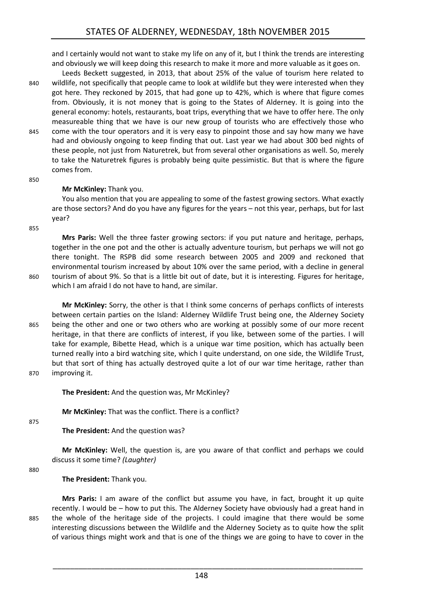and I certainly would not want to stake my life on any of it, but I think the trends are interesting and obviously we will keep doing this research to make it more and more valuable as it goes on.

Leeds Beckett suggested, in 2013, that about 25% of the value of tourism here related to 840 wildlife, not specifically that people came to look at wildlife but they were interested when they got here. They reckoned by 2015, that had gone up to 42%, which is where that figure comes from. Obviously, it is not money that is going to the States of Alderney. It is going into the general economy: hotels, restaurants, boat trips, everything that we have to offer here. The only measureable thing that we have is our new group of tourists who are effectively those who 845 come with the tour operators and it is very easy to pinpoint those and say how many we have had and obviously ongoing to keep finding that out. Last year we had about 300 bed nights of these people, not just from Naturetrek, but from several other organisations as well. So, merely to take the Naturetrek figures is probably being quite pessimistic. But that is where the figure comes from.

#### 850

#### **Mr McKinley:** Thank you.

You also mention that you are appealing to some of the fastest growing sectors. What exactly are those sectors? And do you have any figures for the years – not this year, perhaps, but for last year?

855

**Mrs Paris:** Well the three faster growing sectors: if you put nature and heritage, perhaps, together in the one pot and the other is actually adventure tourism, but perhaps we will not go there tonight. The RSPB did some research between 2005 and 2009 and reckoned that environmental tourism increased by about 10% over the same period, with a decline in general 860 tourism of about 9%. So that is a little bit out of date, but it is interesting. Figures for heritage, which I am afraid I do not have to hand, are similar.

**Mr McKinley:** Sorry, the other is that I think some concerns of perhaps conflicts of interests between certain parties on the Island: Alderney Wildlife Trust being one, the Alderney Society 865 being the other and one or two others who are working at possibly some of our more recent heritage, in that there are conflicts of interest, if you like, between some of the parties. I will take for example, Bibette Head, which is a unique war time position, which has actually been turned really into a bird watching site, which I quite understand, on one side, the Wildlife Trust, but that sort of thing has actually destroyed quite a lot of our war time heritage, rather than 870 improving it.

**The President:** And the question was, Mr McKinley?

**Mr McKinley:** That was the conflict. There is a conflict?

875

**The President:** And the question was?

**Mr McKinley:** Well, the question is, are you aware of that conflict and perhaps we could discuss it some time? *(Laughter)*

880

**The President:** Thank you.

**Mrs Paris:** I am aware of the conflict but assume you have, in fact, brought it up quite recently. I would be – how to put this. The Alderney Society have obviously had a great hand in 885 the whole of the heritage side of the projects. I could imagine that there would be some interesting discussions between the Wildlife and the Alderney Society as to quite how the split of various things might work and that is one of the things we are going to have to cover in the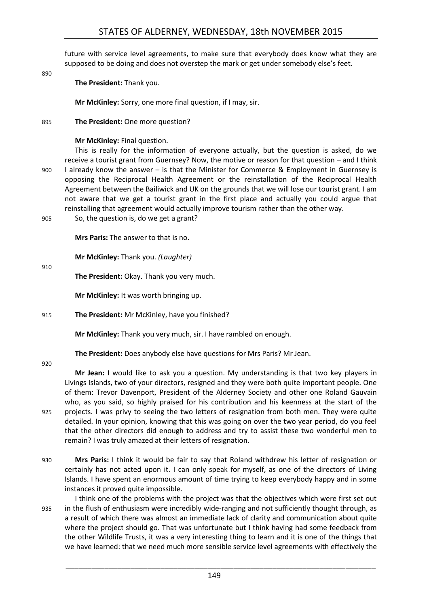future with service level agreements, to make sure that everybody does know what they are supposed to be doing and does not overstep the mark or get under somebody else's feet.

890

**The President:** Thank you.

**Mr McKinley:** Sorry, one more final question, if I may, sir.

895 **The President:** One more question?

#### **Mr McKinley:** Final question.

This is really for the information of everyone actually, but the question is asked, do we receive a tourist grant from Guernsey? Now, the motive or reason for that question – and I think 900 I already know the answer – is that the Minister for Commerce & Employment in Guernsey is opposing the Reciprocal Health Agreement or the reinstallation of the Reciprocal Health Agreement between the Bailiwick and UK on the grounds that we will lose our tourist grant. I am not aware that we get a tourist grant in the first place and actually you could argue that reinstalling that agreement would actually improve tourism rather than the other way.

905 So, the question is, do we get a grant?

**Mrs Paris:** The answer to that is no.

**Mr McKinley:** Thank you. *(Laughter)*

910

**The President:** Okay. Thank you very much.

**Mr McKinley:** It was worth bringing up.

915 **The President:** Mr McKinley, have you finished?

**Mr McKinley:** Thank you very much, sir. I have rambled on enough.

**The President:** Does anybody else have questions for Mrs Paris? Mr Jean.

920

**Mr Jean:** I would like to ask you a question. My understanding is that two key players in Livings Islands, two of your directors, resigned and they were both quite important people. One of them: Trevor Davenport, President of the Alderney Society and other one Roland Gauvain who, as you said, so highly praised for his contribution and his keenness at the start of the 925 projects. I was privy to seeing the two letters of resignation from both men. They were quite detailed. In your opinion, knowing that this was going on over the two year period, do you feel that the other directors did enough to address and try to assist these two wonderful men to remain? I was truly amazed at their letters of resignation.

- 930 **Mrs Paris:** I think it would be fair to say that Roland withdrew his letter of resignation or certainly has not acted upon it. I can only speak for myself, as one of the directors of Living Islands. I have spent an enormous amount of time trying to keep everybody happy and in some instances it proved quite impossible.
- I think one of the problems with the project was that the objectives which were first set out 935 in the flush of enthusiasm were incredibly wide-ranging and not sufficiently thought through, as a result of which there was almost an immediate lack of clarity and communication about quite where the project should go. That was unfortunate but I think having had some feedback from the other Wildlife Trusts, it was a very interesting thing to learn and it is one of the things that we have learned: that we need much more sensible service level agreements with effectively the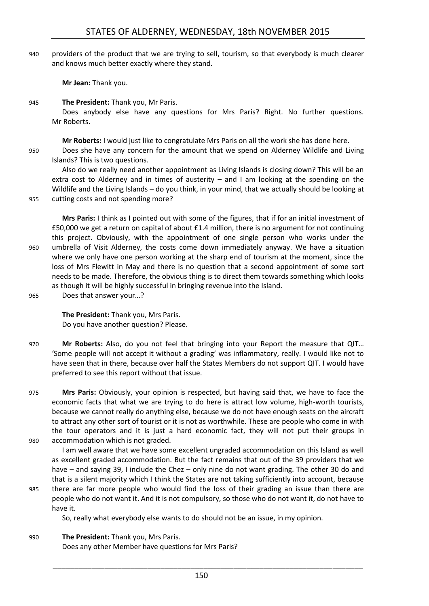940 providers of the product that we are trying to sell, tourism, so that everybody is much clearer and knows much better exactly where they stand.

**Mr Jean:** Thank you.

945 **The President:** Thank you, Mr Paris.

Does anybody else have any questions for Mrs Paris? Right. No further questions. Mr Roberts.

**Mr Roberts:** I would just like to congratulate Mrs Paris on all the work she has done here. 950 Does she have any concern for the amount that we spend on Alderney Wildlife and Living Islands? This is two questions.

Also do we really need another appointment as Living Islands is closing down? This will be an extra cost to Alderney and in times of austerity – and I am looking at the spending on the Wildlife and the Living Islands – do you think, in your mind, that we actually should be looking at 955 cutting costs and not spending more?

**Mrs Paris:** I think as I pointed out with some of the figures, that if for an initial investment of £50,000 we get a return on capital of about £1.4 million, there is no argument for not continuing this project. Obviously, with the appointment of one single person who works under the 960 umbrella of Visit Alderney, the costs come down immediately anyway. We have a situation where we only have one person working at the sharp end of tourism at the moment, since the loss of Mrs Flewitt in May and there is no question that a second appointment of some sort needs to be made. Therefore, the obvious thing is to direct them towards something which looks as though it will be highly successful in bringing revenue into the Island.

965 Does that answer your…?

**The President:** Thank you, Mrs Paris. Do you have another question? Please.

970 **Mr Roberts:** Also, do you not feel that bringing into your Report the measure that QIT… 'Some people will not accept it without a grading' was inflammatory, really. I would like not to have seen that in there, because over half the States Members do not support QIT. I would have preferred to see this report without that issue.

975 **Mrs Paris:** Obviously, your opinion is respected, but having said that, we have to face the economic facts that what we are trying to do here is attract low volume, high-worth tourists, because we cannot really do anything else, because we do not have enough seats on the aircraft to attract any other sort of tourist or it is not as worthwhile. These are people who come in with the tour operators and it is just a hard economic fact, they will not put their groups in 980 accommodation which is not graded.

I am well aware that we have some excellent ungraded accommodation on this Island as well as excellent graded accommodation. But the fact remains that out of the 39 providers that we have – and saying 39, I include the Chez – only nine do not want grading. The other 30 do and that is a silent majority which I think the States are not taking sufficiently into account, because

985 there are far more people who would find the loss of their grading an issue than there are people who do not want it. And it is not compulsory, so those who do not want it, do not have to have it.

So, really what everybody else wants to do should not be an issue, in my opinion.

990 **The President:** Thank you, Mrs Paris. Does any other Member have questions for Mrs Paris?